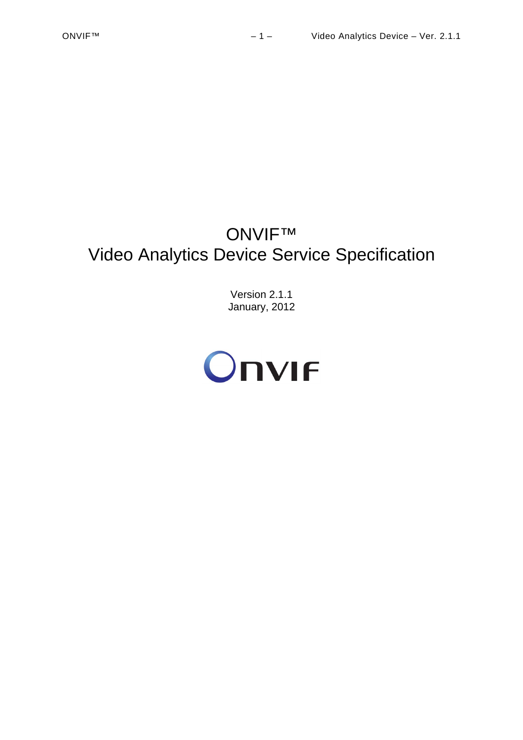# ONVIF™ Video Analytics Device Service Specification

Version 2.1.1 January, 2012

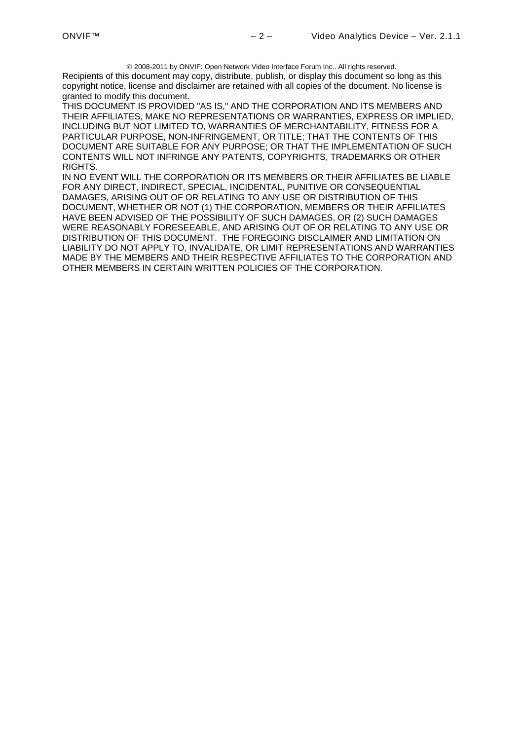2008-2011 by ONVIF: Open Network Video Interface Forum Inc.. All rights reserved. Recipients of this document may copy, distribute, publish, or display this document so long as this copyright notice, license and disclaimer are retained with all copies of the document. No license is granted to modify this document.

THIS DOCUMENT IS PROVIDED "AS IS," AND THE CORPORATION AND ITS MEMBERS AND THEIR AFFILIATES, MAKE NO REPRESENTATIONS OR WARRANTIES, EXPRESS OR IMPLIED, INCLUDING BUT NOT LIMITED TO, WARRANTIES OF MERCHANTABILITY, FITNESS FOR A PARTICULAR PURPOSE, NON-INFRINGEMENT, OR TITLE; THAT THE CONTENTS OF THIS DOCUMENT ARE SUITABLE FOR ANY PURPOSE; OR THAT THE IMPLEMENTATION OF SUCH CONTENTS WILL NOT INFRINGE ANY PATENTS, COPYRIGHTS, TRADEMARKS OR OTHER RIGHTS.

IN NO EVENT WILL THE CORPORATION OR ITS MEMBERS OR THEIR AFFILIATES BE LIABLE FOR ANY DIRECT, INDIRECT, SPECIAL, INCIDENTAL, PUNITIVE OR CONSEQUENTIAL DAMAGES, ARISING OUT OF OR RELATING TO ANY USE OR DISTRIBUTION OF THIS DOCUMENT, WHETHER OR NOT (1) THE CORPORATION, MEMBERS OR THEIR AFFILIATES HAVE BEEN ADVISED OF THE POSSIBILITY OF SUCH DAMAGES, OR (2) SUCH DAMAGES WERE REASONABLY FORESEEABLE, AND ARISING OUT OF OR RELATING TO ANY USE OR DISTRIBUTION OF THIS DOCUMENT. THE FOREGOING DISCLAIMER AND LIMITATION ON LIABILITY DO NOT APPLY TO, INVALIDATE, OR LIMIT REPRESENTATIONS AND WARRANTIES MADE BY THE MEMBERS AND THEIR RESPECTIVE AFFILIATES TO THE CORPORATION AND OTHER MEMBERS IN CERTAIN WRITTEN POLICIES OF THE CORPORATION.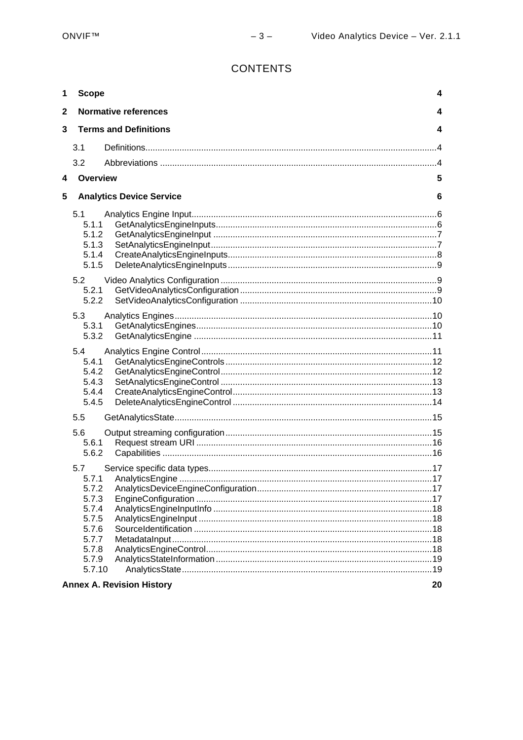# **CONTENTS**

| 1            | <b>Scope</b>                                                                         |                                  | 4   |
|--------------|--------------------------------------------------------------------------------------|----------------------------------|-----|
| $\mathbf{2}$ |                                                                                      | <b>Normative references</b>      | 4   |
| 3            |                                                                                      | <b>Terms and Definitions</b>     | 4   |
|              | 3.1                                                                                  |                                  |     |
|              | 3.2                                                                                  |                                  |     |
| 4            | Overview                                                                             |                                  | 5   |
| 5            |                                                                                      | <b>Analytics Device Service</b>  | 6   |
|              | 5.1<br>5.1.1<br>5.1.2<br>5.1.3<br>5.1.4<br>5.1.5<br>5.2                              |                                  |     |
|              | 5.2.1<br>5.2.2                                                                       |                                  |     |
|              | 5.3<br>5.3.1<br>5.3.2                                                                |                                  |     |
|              | 5.4<br>5.4.1<br>5.4.2<br>5.4.3<br>5.4.4<br>5.4.5                                     |                                  |     |
|              | 5.5                                                                                  |                                  |     |
|              | 5.6<br>5.6.1<br>5.6.2                                                                |                                  |     |
|              | 5.7<br>5.7.1<br>5.7.2<br>5.7.3<br>5.7.4<br>5.7.5<br>5.7.6<br>5.7.7<br>5.7.8<br>5.7.9 |                                  | .17 |
|              | 5.7.10                                                                               |                                  | 20  |
|              |                                                                                      | <b>Annex A. Revision History</b> |     |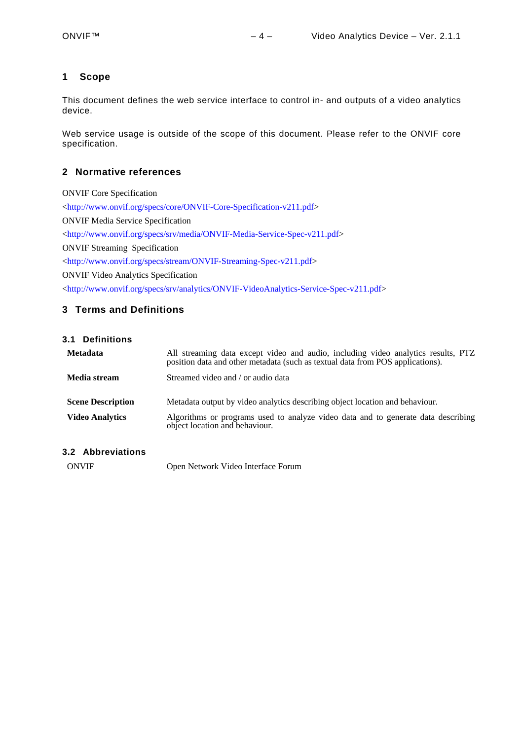## <span id="page-3-0"></span>**1 Scope**

This document defines the web service interface to control in- and outputs of a video analytics device.

Web service usage is outside of the scope of this document. Please refer to the ONVIF core specification.

## <span id="page-3-1"></span>**2 Normative references**

ONVIF Core Specification [<http://www.onvif.org/specs/core/ONVIF-Core-Specification-v211.pdf](http://www.onvif.org/specs/core/ONVIF-Core-Specification-v211.pdf)> ONVIF Media Service Specification [<http://www.onvif.org/specs/srv/media/ONVIF-Media-Service-Spec-v211.pdf>](http://www.onvif.org/specs/srv/media/ONVIF-Media-Service-Spec-v211.pdf) ONVIF Streaming Specification [<http://www.onvif.org/specs/stream/ONVIF-Streaming-Spec-v211.pdf](http://www.onvif.org/specs/stream/ONVIF-Streaming-Spec-v211.pdf)> ONVIF Video Analytics Specification [<http://www.onvif.org/specs/srv/analytics/ONVIF-VideoAnalytics-Service-Spec-v211.pdf>](http://www.onvif.org/specs/srv/analytics/ONVIF-VideoAnalytics-Service-Spec-v211.pdf)

## <span id="page-3-2"></span>**3 Terms and Definitions**

<span id="page-3-3"></span>

|  | 3.1 |  |  |  |  |  |  |  | <b>Definitions</b> |  |
|--|-----|--|--|--|--|--|--|--|--------------------|--|
|--|-----|--|--|--|--|--|--|--|--------------------|--|

| <b>Metadata</b>                                    | All streaming data except video and audio, including video analytics results, PTZ<br>position data and other metadata (such as textual data from POS applications).                                 |
|----------------------------------------------------|-----------------------------------------------------------------------------------------------------------------------------------------------------------------------------------------------------|
| Media stream                                       | Streamed video and / or audio data                                                                                                                                                                  |
| <b>Scene Description</b><br><b>Video Analytics</b> | Metadata output by video analytics describing object location and behaviour.<br>Algorithms or programs used to analyze video data and to generate data describing<br>object location and behaviour. |

## <span id="page-3-4"></span>**3.2 Abbreviations**

ONVIF Open Network Video Interface Forum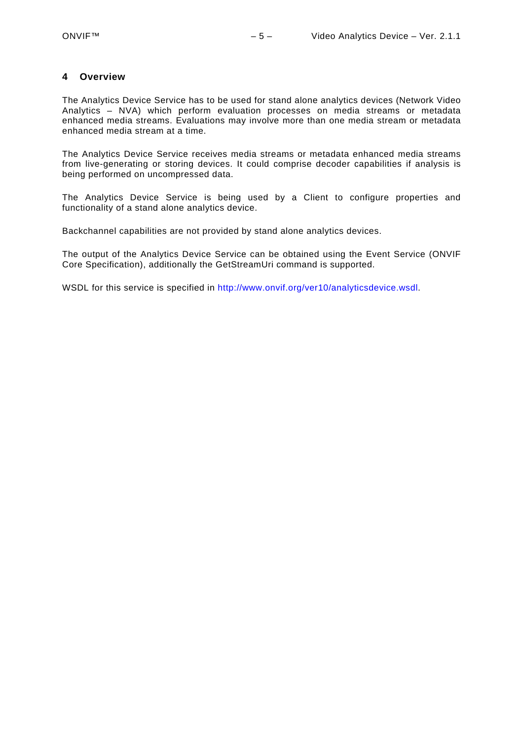#### <span id="page-4-0"></span>**4 Overview**

The Analytics Device Service has to be used for stand alone analytics devices (Network Video Analytics – NVA) which perform evaluation processes on media streams or metadata enhanced media streams. Evaluations may involve more than one media stream or metadata enhanced media stream at a time.

The Analytics Device Service receives media streams or metadata enhanced media streams from live-generating or storing devices. It could comprise decoder capabilities if analysis is being performed on uncompressed data.

The Analytics Device Service is being used by a Client to configure properties and functionality of a stand alone analytics device.

Backchannel capabilities are not provided by stand alone analytics devices.

The output of the Analytics Device Service can be obtained using the Event Service (ONVIF Core Specification), additionally the GetStreamUri command is supported.

WSDL for this service is specified in [http://www.onvif.org/ver10/analyticsdevice.wsdl.](http://www.onvif.org/ver10/analyticsdevice.wsdl)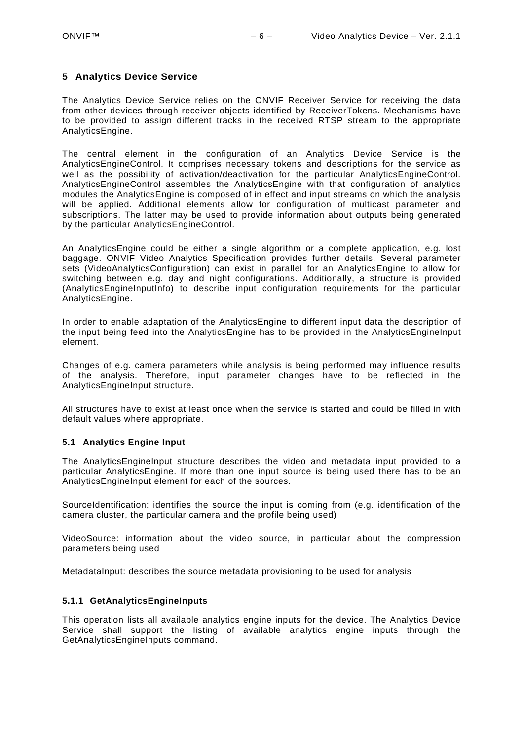## <span id="page-5-0"></span>**5 Analytics Device Service**

The Analytics Device Service relies on the ONVIF Receiver Service for receiving the data from other devices through receiver objects identified by ReceiverTokens. Mechanisms have to be provided to assign different tracks in the received RTSP stream to the appropriate AnalyticsEngine.

The central element in the configuration of an Analytics Device Service is the AnalyticsEngineControl. It comprises necessary tokens and descriptions for the service as well as the possibility of activation/deactivation for the particular AnalyticsEngineControl. AnalyticsEngineControl assembles the AnalyticsEngine with that configuration of analytics modules the AnalyticsEngine is composed of in effect and input streams on which the analysis will be applied. Additional elements allow for configuration of multicast parameter and subscriptions. The latter may be used to provide information about outputs being generated by the particular AnalyticsEngineControl.

An AnalyticsEngine could be either a single algorithm or a complete application, e.g. lost baggage. ONVIF Video Analytics Specification provides further details. Several parameter sets (VideoAnalyticsConfiguration) can exist in parallel for an AnalyticsEngine to allow for switching between e.g. day and night configurations. Additionally, a structure is provided (AnalyticsEngineInputInfo) to describe input configuration requirements for the particular AnalyticsEngine.

In order to enable adaptation of the AnalyticsEngine to different input data the description of the input being feed into the AnalyticsEngine has to be provided in the AnalyticsEngineInput element.

Changes of e.g. camera parameters while analysis is being performed may influence results of the analysis. Therefore, input parameter changes have to be reflected in the AnalyticsEngineInput structure.

All structures have to exist at least once when the service is started and could be filled in with default values where appropriate.

#### <span id="page-5-1"></span>**5.1 Analytics Engine Input**

The AnalyticsEngineInput structure describes the video and metadata input provided to a particular AnalyticsEngine. If more than one input source is being used there has to be an AnalyticsEngineInput element for each of the sources.

SourceIdentification: identifies the source the input is coming from (e.g. identification of the camera cluster, the particular camera and the profile being used)

VideoSource: information about the video source, in particular about the compression parameters being used

MetadataInput: describes the source metadata provisioning to be used for analysis

#### <span id="page-5-2"></span>**5.1.1 GetAnalyticsEngineInputs**

This operation lists all available analytics engine inputs for the device. The Analytics Device Service shall support the listing of available analytics engine inputs through the GetAnalyticsEngineInputs command.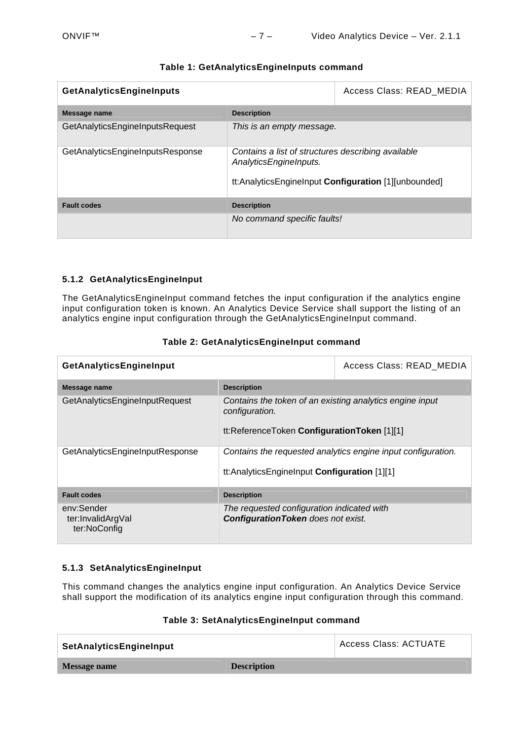| <b>GetAnalyticsEngineInputs</b>  | Access Class: READ MEDIA                                                                                                             |  |
|----------------------------------|--------------------------------------------------------------------------------------------------------------------------------------|--|
| Message name                     | <b>Description</b>                                                                                                                   |  |
| GetAnalyticsEngineInputsRequest  | This is an empty message.                                                                                                            |  |
| GetAnalyticsEngineInputsResponse | Contains a list of structures describing available<br>AnalyticsEngineInputs.<br>tt:AnalyticsEngineInput Configuration [1][unbounded] |  |
| <b>Fault codes</b>               | <b>Description</b>                                                                                                                   |  |
|                                  | No command specific faults!                                                                                                          |  |

## **Table 1: GetAnalyticsEngineInputs command**

## <span id="page-6-0"></span>**5.1.2 GetAnalyticsEngineInput**

The GetAnalyticsEngineInput command fetches the input configuration if the analytics engine input configuration token is known. An Analytics Device Service shall support the listing of an analytics engine input configuration through the GetAnalyticsEngineInput command.

| GetAnalyticsEngineInput                         |                                                                                                                           | Access Class: READ_MEDIA |  |  |
|-------------------------------------------------|---------------------------------------------------------------------------------------------------------------------------|--------------------------|--|--|
| Message name                                    | <b>Description</b>                                                                                                        |                          |  |  |
| GetAnalyticsEngineInputRequest                  | Contains the token of an existing analytics engine input<br>configuration.<br>tt:ReferenceToken ConfigurationToken [1][1] |                          |  |  |
| GetAnalyticsEngineInputResponse                 | Contains the requested analytics engine input configuration.<br>tt:AnalyticsEnginelnput Configuration [1][1]              |                          |  |  |
| <b>Fault codes</b>                              | <b>Description</b>                                                                                                        |                          |  |  |
| env:Sender<br>ter:InvalidArgVal<br>ter:NoConfig | The requested configuration indicated with<br><b>Configuration Token</b> does not exist.                                  |                          |  |  |

## **Table 2: GetAnalyticsEngineInput command**

## <span id="page-6-1"></span>**5.1.3 SetAnalyticsEngineInput**

This command changes the analytics engine input configuration. An Analytics Device Service shall support the modification of its analytics engine input configuration through this command.

#### **Table 3: SetAnalyticsEngineInput command**

| SetAnalyticsEngineInput |                    | Access Class: ACTUATE |
|-------------------------|--------------------|-----------------------|
| Message name            | <b>Description</b> |                       |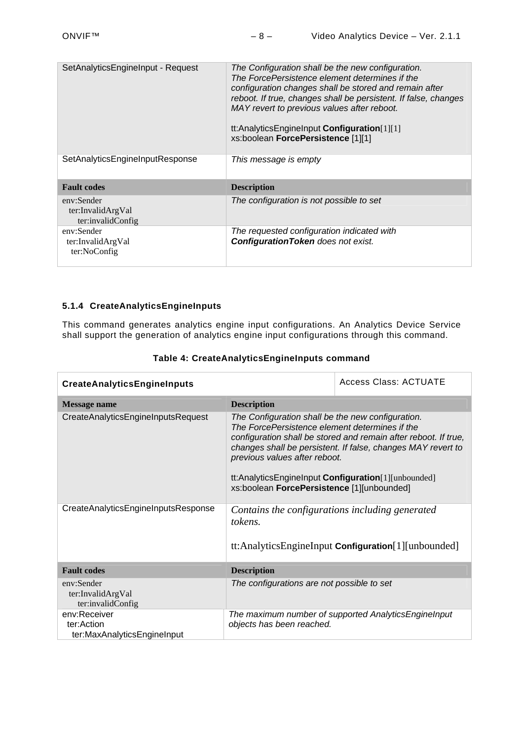| SetAnalyticsEngineInput - Request                    | The Configuration shall be the new configuration.<br>The ForcePersistence element determines if the<br>configuration changes shall be stored and remain after<br>reboot. If true, changes shall be persistent. If false, changes<br>MAY revert to previous values after reboot.<br>tt:AnalyticsEngineInput Configuration[1][1]<br>xs:boolean ForcePersistence [1][1] |  |  |
|------------------------------------------------------|----------------------------------------------------------------------------------------------------------------------------------------------------------------------------------------------------------------------------------------------------------------------------------------------------------------------------------------------------------------------|--|--|
| SetAnalyticsEngineInputResponse                      | This message is empty                                                                                                                                                                                                                                                                                                                                                |  |  |
| <b>Fault codes</b>                                   | <b>Description</b>                                                                                                                                                                                                                                                                                                                                                   |  |  |
| env:Sender<br>ter:InvalidArgVal<br>ter:invalidConfig | The configuration is not possible to set                                                                                                                                                                                                                                                                                                                             |  |  |
| env:Sender<br>ter:InvalidArgVal<br>ter:NoConfig      | The requested configuration indicated with<br><b>Configuration Token</b> does not exist.                                                                                                                                                                                                                                                                             |  |  |

## <span id="page-7-0"></span>**5.1.4 CreateAnalyticsEngineInputs**

This command generates analytics engine input configurations. An Analytics Device Service shall support the generation of analytics engine input configurations through this command.

| <b>CreateAnalyticsEngineInputs</b>                        | Access Class: ACTUATE                                                                                                                                                                                                                                                                                                                                                        |                                                      |  |
|-----------------------------------------------------------|------------------------------------------------------------------------------------------------------------------------------------------------------------------------------------------------------------------------------------------------------------------------------------------------------------------------------------------------------------------------------|------------------------------------------------------|--|
| Message name                                              | <b>Description</b>                                                                                                                                                                                                                                                                                                                                                           |                                                      |  |
| CreateAnalyticsEngineInputsRequest                        | The Configuration shall be the new configuration.<br>The ForcePersistence element determines if the<br>configuration shall be stored and remain after reboot. If true,<br>changes shall be persistent. If false, changes MAY revert to<br>previous values after reboot.<br>tt:AnalyticsEngineInput Configuration[1][unbounded]<br>xs:boolean ForcePersistence [1][unbounded] |                                                      |  |
| CreateAnalyticsEngineInputsResponse                       | Contains the configurations including generated<br>tokens.                                                                                                                                                                                                                                                                                                                   | tt:AnalyticsEngineInput Configuration[1][unbounded]  |  |
| <b>Fault codes</b>                                        | <b>Description</b>                                                                                                                                                                                                                                                                                                                                                           |                                                      |  |
| env:Sender<br>ter:InvalidArgVal<br>ter:invalidConfig      | The configurations are not possible to set                                                                                                                                                                                                                                                                                                                                   |                                                      |  |
| env:Receiver<br>ter:Action<br>ter:MaxAnalyticsEngineInput | objects has been reached.                                                                                                                                                                                                                                                                                                                                                    | The maximum number of supported AnalyticsEngineInput |  |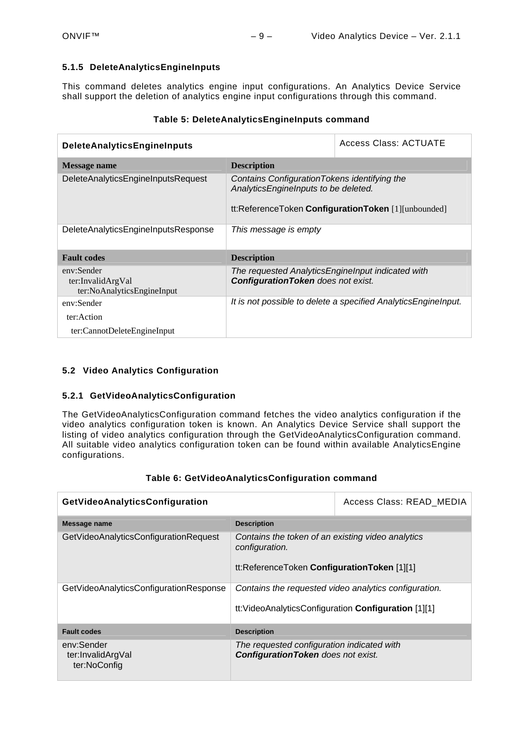## <span id="page-8-0"></span>**5.1.5 DeleteAnalyticsEngineInputs**

This command deletes analytics engine input configurations. An Analytics Device Service shall support the deletion of analytics engine input configurations through this command.

| DeleteAnalyticsEngineInputs                                   | Access Class: ACTUATE                                                                                                                        |                                                                |  |
|---------------------------------------------------------------|----------------------------------------------------------------------------------------------------------------------------------------------|----------------------------------------------------------------|--|
| Message name                                                  | <b>Description</b>                                                                                                                           |                                                                |  |
| DeleteAnalyticsEngineInputsRequest                            | Contains Configuration Tokens identifying the<br>AnalyticsEngineInputs to be deleted.<br>tt:ReferenceToken ConfigurationToken [1][unbounded] |                                                                |  |
| DeleteAnalyticsEngineInputsResponse                           | This message is empty                                                                                                                        |                                                                |  |
| <b>Fault codes</b>                                            | <b>Description</b>                                                                                                                           |                                                                |  |
| env:Sender<br>ter:InvalidArgVal<br>ter:NoAnalyticsEngineInput | The requested Analytics Enginelnput indicated with<br><b>Configuration Token</b> does not exist.                                             |                                                                |  |
| env:Sender                                                    |                                                                                                                                              | It is not possible to delete a specified AnalyticsEnginelnput. |  |
| ter: Action                                                   |                                                                                                                                              |                                                                |  |
| ter:CannotDeleteEngineInput                                   |                                                                                                                                              |                                                                |  |

## **Table 5: DeleteAnalyticsEngineInputs command**

## <span id="page-8-1"></span>**5.2 Video Analytics Configuration**

#### <span id="page-8-2"></span>**5.2.1 GetVideoAnalyticsConfiguration**

The GetVideoAnalyticsConfiguration command fetches the video analytics configuration if the video analytics configuration token is known. An Analytics Device Service shall support the listing of video analytics configuration through the GetVideoAnalyticsConfiguration command. All suitable video analytics configuration token can be found within available AnalyticsEngine configurations.

| GetVideoAnalyticsConfiguration                  |                                                                                                                    | Access Class: READ MEDIA |  |
|-------------------------------------------------|--------------------------------------------------------------------------------------------------------------------|--------------------------|--|
| Message name                                    | <b>Description</b>                                                                                                 |                          |  |
| GetVideoAnalyticsConfigurationRequest           | Contains the token of an existing video analytics<br>configuration.<br>tt:ReferenceToken ConfigurationToken [1][1] |                          |  |
| GetVideoAnalyticsConfigurationResponse          | Contains the requested video analytics configuration.<br>tt: VideoAnalyticsConfiguration Configuration [1][1]      |                          |  |
| <b>Fault codes</b>                              | <b>Description</b>                                                                                                 |                          |  |
| env:Sender<br>ter:InvalidArgVal<br>ter:NoConfig | The requested configuration indicated with<br><b>Configuration Token</b> does not exist.                           |                          |  |

#### **Table 6: GetVideoAnalyticsConfiguration command**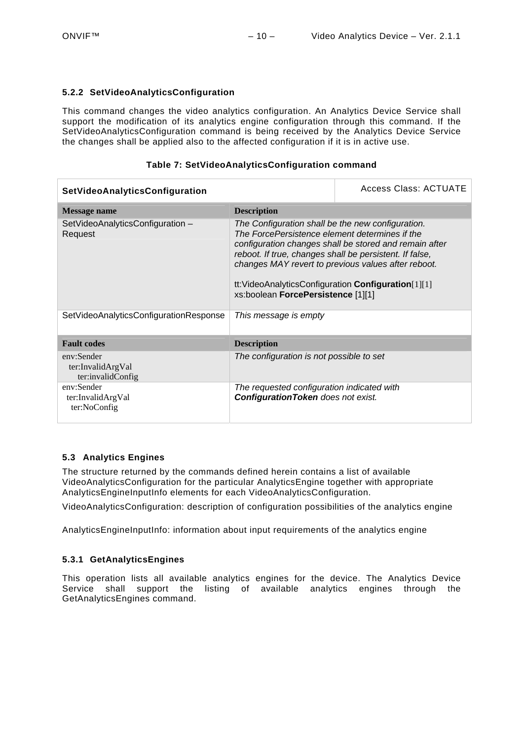#### <span id="page-9-0"></span>**5.2.2 SetVideoAnalyticsConfiguration**

This command changes the video analytics configuration. An Analytics Device Service shall support the modification of its analytics engine configuration through this command. If the SetVideoAnalyticsConfiguration command is being received by the Analytics Device Service the changes shall be applied also to the affected configuration if it is in active use.

#### **Table 7: SetVideoAnalyticsConfiguration command**

| SetVideoAnalyticsConfiguration                       | Access Class: ACTUATE                                                                                                                                                                                                                                                                                                                                                                                |  |  |
|------------------------------------------------------|------------------------------------------------------------------------------------------------------------------------------------------------------------------------------------------------------------------------------------------------------------------------------------------------------------------------------------------------------------------------------------------------------|--|--|
| Message name                                         | <b>Description</b>                                                                                                                                                                                                                                                                                                                                                                                   |  |  |
| SetVideoAnalyticsConfiguration -<br>Request          | The Configuration shall be the new configuration.<br>The ForcePersistence element determines if the<br>configuration changes shall be stored and remain after<br>reboot. If true, changes shall be persistent. If false,<br>changes MAY revert to previous values after reboot.<br>$tt:VideoAnalyticsConfiguration$ Configuration $\text{Configuration}[1][1]$<br>xs:boolean ForcePersistence [1][1] |  |  |
| SetVideoAnalyticsConfigurationResponse               | This message is empty                                                                                                                                                                                                                                                                                                                                                                                |  |  |
| <b>Fault codes</b>                                   | <b>Description</b>                                                                                                                                                                                                                                                                                                                                                                                   |  |  |
| env:Sender<br>ter:InvalidArgVal<br>ter:invalidConfig | The configuration is not possible to set                                                                                                                                                                                                                                                                                                                                                             |  |  |
| env:Sender<br>ter:InvalidArgVal<br>ter:NoConfig      | The requested configuration indicated with<br><b>Configuration Token</b> does not exist.                                                                                                                                                                                                                                                                                                             |  |  |

## <span id="page-9-1"></span>**5.3 Analytics Engines**

The structure returned by the commands defined herein contains a list of available VideoAnalyticsConfiguration for the particular AnalyticsEngine together with appropriate AnalyticsEngineInputInfo elements for each VideoAnalyticsConfiguration.

VideoAnalyticsConfiguration: description of configuration possibilities of the analytics engine

AnalyticsEngineInputInfo: information about input requirements of the analytics engine

#### <span id="page-9-2"></span>**5.3.1 GetAnalyticsEngines**

This operation lists all available analytics engines for the device. The Analytics Device Service shall support the listing of available analytics engines through the GetAnalyticsEngines command.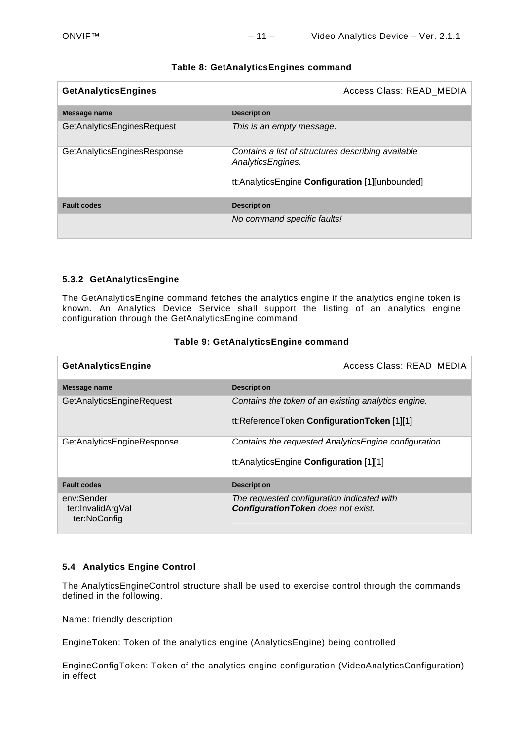| <b>GetAnalyticsEngines</b>  |                                                                                                                            | Access Class: READ MEDIA |
|-----------------------------|----------------------------------------------------------------------------------------------------------------------------|--------------------------|
| Message name                | <b>Description</b>                                                                                                         |                          |
| GetAnalyticsEnginesRequest  | This is an empty message.                                                                                                  |                          |
| GetAnalyticsEnginesResponse | Contains a list of structures describing available<br>AnalyticsEngines.<br>tt:AnalyticsEngine Configuration [1][unbounded] |                          |
| <b>Fault codes</b>          | <b>Description</b>                                                                                                         |                          |
|                             | No command specific faults!                                                                                                |                          |

## **Table 8: GetAnalyticsEngines command**

#### <span id="page-10-0"></span>**5.3.2 GetAnalyticsEngine**

The GetAnalyticsEngine command fetches the analytics engine if the analytics engine token is known. An Analytics Device Service shall support the listing of an analytics engine configuration through the GetAnalyticsEngine command.

| GetAnalyticsEngine                              |                                                                                          | Access Class: READ MEDIA |
|-------------------------------------------------|------------------------------------------------------------------------------------------|--------------------------|
| Message name                                    | <b>Description</b>                                                                       |                          |
| GetAnalyticsEngineRequest                       | Contains the token of an existing analytics engine.                                      |                          |
|                                                 | tt:ReferenceToken ConfigurationToken [1][1]                                              |                          |
| GetAnalyticsEngineResponse                      | Contains the requested Analytics Engine configuration.                                   |                          |
|                                                 | tt:AnalyticsEngine Configuration [1][1]                                                  |                          |
| <b>Fault codes</b>                              | <b>Description</b>                                                                       |                          |
| env:Sender<br>ter:InvalidArgVal<br>ter:NoConfig | The requested configuration indicated with<br><b>Configuration Token</b> does not exist. |                          |

#### **Table 9: GetAnalyticsEngine command**

#### <span id="page-10-1"></span>**5.4 Analytics Engine Control**

The AnalyticsEngineControl structure shall be used to exercise control through the commands defined in the following.

Name: friendly description

EngineToken: Token of the analytics engine (AnalyticsEngine) being controlled

EngineConfigToken: Token of the analytics engine configuration (VideoAnalyticsConfiguration) in effect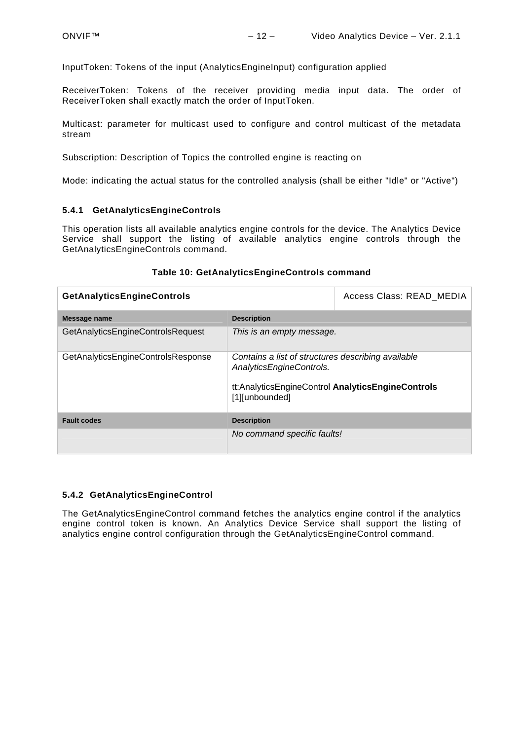InputToken: Tokens of the input (AnalyticsEngineInput) configuration applied

ReceiverToken: Tokens of the receiver providing media input data. The order of ReceiverToken shall exactly match the order of InputToken.

Multicast: parameter for multicast used to configure and control multicast of the metadata stream

Subscription: Description of Topics the controlled engine is reacting on

Mode: indicating the actual status for the controlled analysis (shall be either "Idle" or "Active")

#### <span id="page-11-0"></span>**5.4.1 GetAnalyticsEngineControls**

This operation lists all available analytics engine controls for the device. The Analytics Device Service shall support the listing of available analytics engine controls through the GetAnalyticsEngineControls command.

| <b>GetAnalyticsEngineControls</b>  |                                                                                                                                                       | Access Class: READ MEDIA |
|------------------------------------|-------------------------------------------------------------------------------------------------------------------------------------------------------|--------------------------|
| Message name                       | <b>Description</b>                                                                                                                                    |                          |
| GetAnalyticsEngineControlsRequest  | This is an empty message.                                                                                                                             |                          |
| GetAnalyticsEngineControlsResponse | Contains a list of structures describing available<br>AnalyticsEngineControls.<br>tt:AnalyticsEngineControl AnalyticsEngineControls<br>[1][unbounded] |                          |
| <b>Fault codes</b>                 | <b>Description</b>                                                                                                                                    |                          |
|                                    | No command specific faults!                                                                                                                           |                          |

#### **Table 10: GetAnalyticsEngineControls command**

#### <span id="page-11-1"></span>**5.4.2 GetAnalyticsEngineControl**

The GetAnalyticsEngineControl command fetches the analytics engine control if the analytics engine control token is known. An Analytics Device Service shall support the listing of analytics engine control configuration through the GetAnalyticsEngineControl command.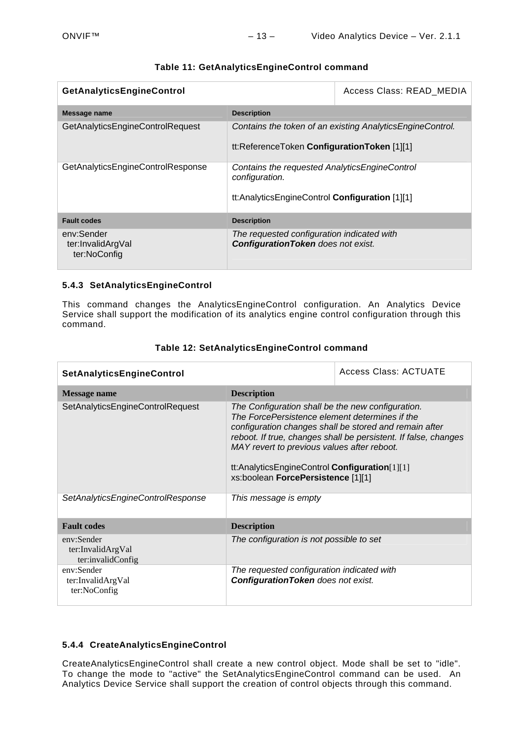| GetAnalyticsEngineControl                       |                                                                                                                   | Access Class: READ MEDIA |
|-------------------------------------------------|-------------------------------------------------------------------------------------------------------------------|--------------------------|
| Message name                                    | <b>Description</b>                                                                                                |                          |
| <b>GetAnalyticsEngineControlRequest</b>         | Contains the token of an existing Analytics Engine Control.<br>tt:ReferenceToken ConfigurationToken [1][1]        |                          |
| GetAnalyticsEngineControlResponse               | Contains the requested AnalyticsEngineControl<br>configuration.<br>tt:AnalyticsEngineControl Configuration [1][1] |                          |
| <b>Fault codes</b>                              | <b>Description</b>                                                                                                |                          |
| env:Sender<br>ter:InvalidArgVal<br>ter:NoConfig | The requested configuration indicated with<br><b>Configuration Token</b> does not exist.                          |                          |

## **Table 11: GetAnalyticsEngineControl command**

## <span id="page-12-0"></span>**5.4.3 SetAnalyticsEngineControl**

This command changes the AnalyticsEngineControl configuration. An Analytics Device Service shall support the modification of its analytics engine control configuration through this command.

| SetAnalyticsEngineControl                            |                                                                                                                                                                                                                                           | Access Class: ACTUATE                                                                                                     |
|------------------------------------------------------|-------------------------------------------------------------------------------------------------------------------------------------------------------------------------------------------------------------------------------------------|---------------------------------------------------------------------------------------------------------------------------|
| Message name                                         | <b>Description</b>                                                                                                                                                                                                                        |                                                                                                                           |
| SetAnalyticsEngineControlRequest                     | The Configuration shall be the new configuration.<br>The ForcePersistence element determines if the<br>MAY revert to previous values after reboot.<br>tt:AnalyticsEngineControl Configuration[1][1]<br>xs:boolean ForcePersistence [1][1] | configuration changes shall be stored and remain after<br>reboot. If true, changes shall be persistent. If false, changes |
| SetAnalyticsEngineControlResponse                    | This message is empty                                                                                                                                                                                                                     |                                                                                                                           |
| <b>Fault codes</b>                                   | <b>Description</b>                                                                                                                                                                                                                        |                                                                                                                           |
| env:Sender<br>ter:InvalidArgVal<br>ter:invalidConfig | The configuration is not possible to set                                                                                                                                                                                                  |                                                                                                                           |
| env:Sender<br>ter:InvalidArgVal<br>ter:NoConfig      | The requested configuration indicated with<br><b>Configuration Token</b> does not exist.                                                                                                                                                  |                                                                                                                           |

## **Table 12: SetAnalyticsEngineControl command**

## <span id="page-12-1"></span>**5.4.4 CreateAnalyticsEngineControl**

CreateAnalyticsEngineControl shall create a new control object. Mode shall be set to "idle". To change the mode to "active" the SetAnalyticsEngineControl command can be used. An Analytics Device Service shall support the creation of control objects through this command.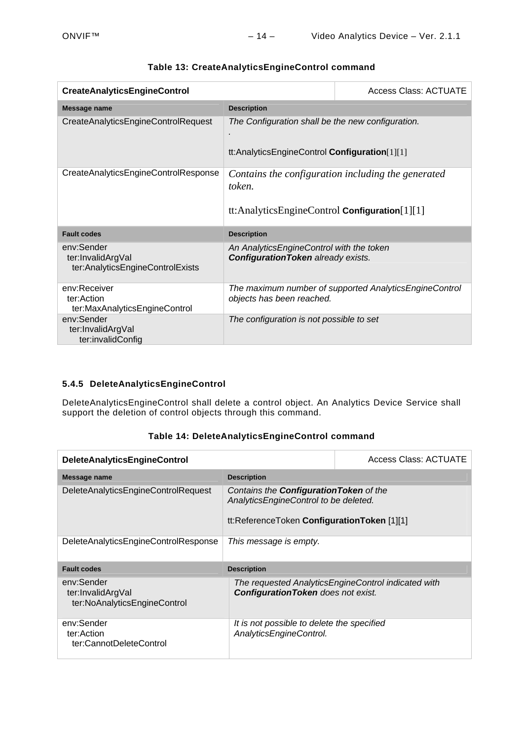| <b>CreateAnalyticsEngineControl</b>                                 |                                                                                                    | <b>Access Class: ACTUATE</b>                           |
|---------------------------------------------------------------------|----------------------------------------------------------------------------------------------------|--------------------------------------------------------|
| Message name                                                        | <b>Description</b>                                                                                 |                                                        |
| CreateAnalyticsEngineControlRequest                                 | The Configuration shall be the new configuration.<br>tt:AnalyticsEngineControl Configuration[1][1] |                                                        |
| CreateAnalyticsEngineControlResponse                                | token.<br>tt:AnalyticsEngineControl Configuration $[1][1]$                                         | Contains the configuration including the generated     |
| <b>Fault codes</b>                                                  | <b>Description</b>                                                                                 |                                                        |
| env:Sender<br>ter:InvalidArgVal<br>ter:AnalyticsEngineControlExists | An AnalyticsEngineControl with the token<br><b>Configuration Token already exists.</b>             |                                                        |
| env:Receiver<br>ter:Action<br>ter:MaxAnalyticsEngineControl         | objects has been reached.                                                                          | The maximum number of supported AnalyticsEngineControl |
| env:Sender<br>ter:InvalidArgVal<br>ter:invalidConfig                | The configuration is not possible to set                                                           |                                                        |

## **Table 13: CreateAnalyticsEngineControl command**

## <span id="page-13-0"></span>**5.4.5 DeleteAnalyticsEngineControl**

DeleteAnalyticsEngineControl shall delete a control object. An Analytics Device Service shall support the deletion of control objects through this command.

| <b>DeleteAnalyticsEngineControl</b>                             |                                                                                                                                        | Access Class: ACTUATE                               |
|-----------------------------------------------------------------|----------------------------------------------------------------------------------------------------------------------------------------|-----------------------------------------------------|
| Message name                                                    | <b>Description</b>                                                                                                                     |                                                     |
| DeleteAnalyticsEngineControlRequest                             | Contains the <b>Configuration Token</b> of the<br>AnalyticsEngineControl to be deleted.<br>tt:ReferenceToken ConfigurationToken [1][1] |                                                     |
| DeleteAnalyticsEngineControlResponse                            | This message is empty.                                                                                                                 |                                                     |
| <b>Fault codes</b>                                              | <b>Description</b>                                                                                                                     |                                                     |
| env:Sender<br>ter:InvalidArgVal<br>ter:NoAnalyticsEngineControl | <b>ConfigurationToken</b> does not exist.                                                                                              | The requested AnalyticsEngineControl indicated with |
| env:Sender<br>ter:Action<br>ter:CannotDeleteControl             | It is not possible to delete the specified<br>AnalyticsEngineControl.                                                                  |                                                     |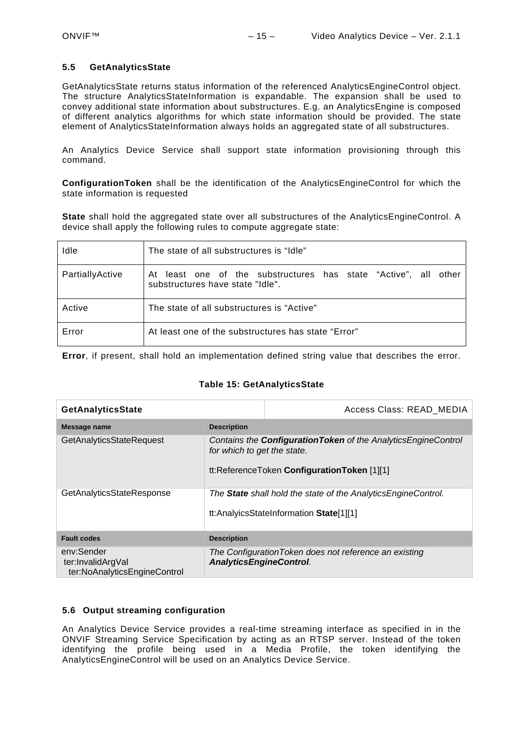#### <span id="page-14-0"></span>**5.5 GetAnalyticsState**

GetAnalyticsState returns status information of the referenced AnalyticsEngineControl object. The structure AnalyticsStateInformation is expandable. The expansion shall be used to convey additional state information about substructures. E.g. an AnalyticsEngine is composed of different analytics algorithms for which state information should be provided. The state element of AnalyticsStateInformation always holds an aggregated state of all substructures.

An Analytics Device Service shall support state information provisioning through this command.

**ConfigurationToken** shall be the identification of the AnalyticsEngineControl for which the state information is requested

**State** shall hold the aggregated state over all substructures of the AnalyticsEngineControl. A device shall apply the following rules to compute aggregate state:

| Idle            | The state of all substructures is "Idle"                                                                |
|-----------------|---------------------------------------------------------------------------------------------------------|
| PartiallyActive | least one of the substructures has state "Active", all other<br>Atl<br>substructures have state "Idle". |
| Active          | The state of all substructures is "Active"                                                              |
| Error           | At least one of the substructures has state "Error"                                                     |

**Error**, if present, shall hold an implementation defined string value that describes the error.

#### **Table 15: GetAnalyticsState**

| <b>GetAnalyticsState</b>                                        |                                                                                                                 | Access Class: READ MEDIA                                                                                               |
|-----------------------------------------------------------------|-----------------------------------------------------------------------------------------------------------------|------------------------------------------------------------------------------------------------------------------------|
| Message name                                                    | <b>Description</b>                                                                                              |                                                                                                                        |
| GetAnalyticsStateRequest                                        | for which to get the state.                                                                                     | Contains the <b>Configuration Token</b> of the Analytics Engine Control<br>tt:ReferenceToken ConfigurationToken [1][1] |
| GetAnalyticsStateResponse                                       | The <b>State</b> shall hold the state of the AnalyticsEngineControl.<br>tt:AnalyicsStateInformation State[1][1] |                                                                                                                        |
| <b>Fault codes</b>                                              | <b>Description</b>                                                                                              |                                                                                                                        |
| env:Sender<br>ter:InvalidArgVal<br>ter:NoAnalyticsEngineControl | <b>AnalyticsEngineControl.</b>                                                                                  | The Configuration Token does not reference an existing                                                                 |

## <span id="page-14-1"></span>**5.6 Output streaming configuration**

An Analytics Device Service provides a real-time streaming interface as specified in in the ONVIF Streaming Service Specification by acting as an RTSP server. Instead of the token identifying the profile being used in a Media Profile, the token identifying the AnalyticsEngineControl will be used on an Analytics Device Service.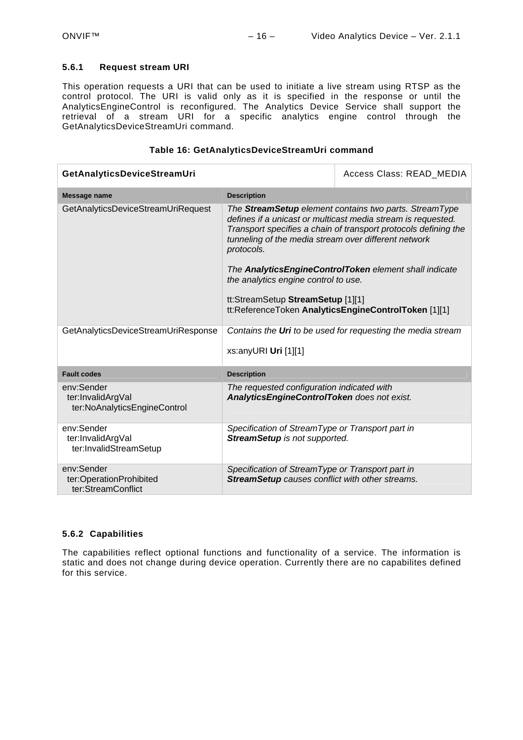#### <span id="page-15-0"></span>**5.6.1 Request stream URI**

This operation requests a URI that can be used to initiate a live stream using RTSP as the control protocol. The URI is valid only as it is specified in the response or until the AnalyticsEngineControl is reconfigured. The Analytics Device Service shall support the retrieval of a stream URI for a specific analytics engine control through the GetAnalyticsDeviceStreamUri command.

#### **Table 16: GetAnalyticsDeviceStreamUri command**

| GetAnalyticsDeviceStreamUri                                     |                                                                                                                                                 | Access Class: READ MEDIA                                                                                                                                                                                                                                                                                    |
|-----------------------------------------------------------------|-------------------------------------------------------------------------------------------------------------------------------------------------|-------------------------------------------------------------------------------------------------------------------------------------------------------------------------------------------------------------------------------------------------------------------------------------------------------------|
| Message name                                                    | <b>Description</b>                                                                                                                              |                                                                                                                                                                                                                                                                                                             |
| GetAnalyticsDeviceStreamUriRequest                              | tunneling of the media stream over different network<br>protocols.<br>the analytics engine control to use.<br>tt:StreamSetup StreamSetup [1][1] | The StreamSetup element contains two parts. StreamType<br>defines if a unicast or multicast media stream is requested.<br>Transport specifies a chain of transport protocols defining the<br>The AnalyticsEngineControlToken element shall indicate<br>tt:ReferenceToken AnalyticsEngineControlToken [1][1] |
| GetAnalyticsDeviceStreamUriResponse                             | xs:anyURI Uri $[1][1]$                                                                                                                          | Contains the Uri to be used for requesting the media stream                                                                                                                                                                                                                                                 |
| <b>Fault codes</b>                                              | <b>Description</b>                                                                                                                              |                                                                                                                                                                                                                                                                                                             |
| env:Sender<br>ter:InvalidArgVal<br>ter:NoAnalyticsEngineControl | The requested configuration indicated with<br>AnalyticsEngineControlToken does not exist.                                                       |                                                                                                                                                                                                                                                                                                             |
| env:Sender<br>ter:InvalidArgVal<br>ter:InvalidStreamSetup       | Specification of StreamType or Transport part in<br><b>StreamSetup</b> is not supported.                                                        |                                                                                                                                                                                                                                                                                                             |
| env:Sender<br>ter:OperationProhibited<br>ter:StreamConflict     | Specification of StreamType or Transport part in<br><b>StreamSetup</b> causes conflict with other streams.                                      |                                                                                                                                                                                                                                                                                                             |

#### <span id="page-15-1"></span>**5.6.2 Capabilities**

The capabilities reflect optional functions and functionality of a service. The information is static and does not change during device operation. Currently there are no capabilites defined for this service.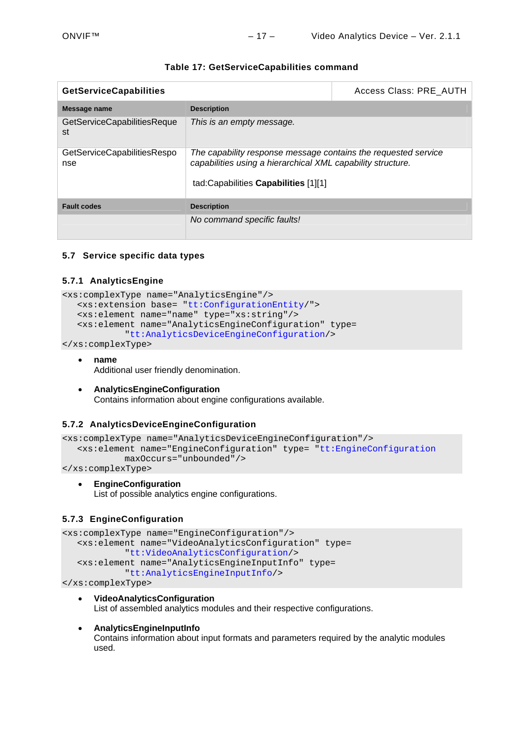| <b>GetServiceCapabilities</b>      |                                                                                                                                                                       | Access Class: PRE AUTH |
|------------------------------------|-----------------------------------------------------------------------------------------------------------------------------------------------------------------------|------------------------|
| Message name                       | <b>Description</b>                                                                                                                                                    |                        |
| GetServiceCapabilitiesReque<br>st  | This is an empty message.                                                                                                                                             |                        |
| GetServiceCapabilitiesRespo<br>nse | The capability response message contains the requested service<br>capabilities using a hierarchical XML capability structure.<br>tad:Capabilities Capabilities [1][1] |                        |
| <b>Fault codes</b>                 | <b>Description</b>                                                                                                                                                    |                        |
|                                    | No command specific faults!                                                                                                                                           |                        |

## **Table 17: GetServiceCapabilities command**

## <span id="page-16-0"></span>**5.7 Service specific data types**

#### <span id="page-16-1"></span>**5.7.1 AnalyticsEngine**

```
<xs:complexType name="AnalyticsEngine"/> 
   <xs:extension base= "tt:ConfigurationEntity/"> 
    <xs:element name="name" type="xs:string"/> 
    <xs:element name="AnalyticsEngineConfiguration" type= 
            "tt:AnalyticsDeviceEngineConfiguration/>
```
</xs:complexType>

- **name**  Additional user friendly denomination.
- **AnalyticsEngineConfiguration**  Contains information about engine configurations available.

#### <span id="page-16-2"></span>**5.7.2 AnalyticsDeviceEngineConfiguration**

```
<xs:complexType name="AnalyticsDeviceEngineConfiguration"/> 
   <xs:element name="EngineConfiguration" type= "tt:EngineConfiguration
           maxOccurs="unbounded"/>
```
</xs:complexType>

**EngineConfiguration** 

List of possible analytics engine configurations.

#### <span id="page-16-3"></span>**5.7.3 EngineConfiguration**

```
<xs:complexType name="EngineConfiguration"/> 
    <xs:element name="VideoAnalyticsConfiguration" type= 
            "tt:VideoAnalyticsConfiguration/> 
    <xs:element name="AnalyticsEngineInputInfo" type= 
            "tt:AnalyticsEngineInputInfo/>
```
</xs:complexType>

 **VideoAnalyticsConfiguration**  List of assembled analytics modules and their respective configurations.

#### **AnalyticsEngineInputInfo**

Contains information about input formats and parameters required by the analytic modules used.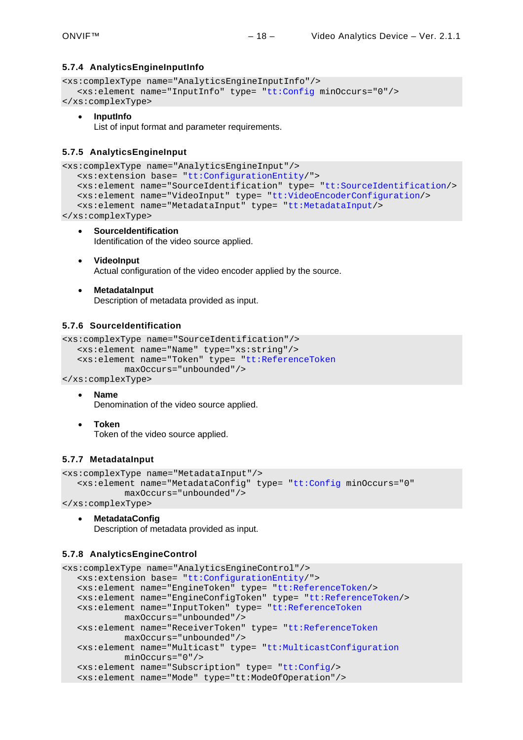## <span id="page-17-0"></span>**5.7.4 AnalyticsEngineInputInfo**

```
<xs:complexType name="AnalyticsEngineInputInfo"/> 
    <xs:element name="InputInfo" type= "tt:Config minOccurs="0"/> 
</xs:complexType>
```
**InputInfo** 

List of input format and parameter requirements.

#### <span id="page-17-1"></span>**5.7.5 AnalyticsEngineInput**

```
<xs:complexType name="AnalyticsEngineInput"/> 
    <xs:extension base= "tt:ConfigurationEntity/"> 
    <xs:element name="SourceIdentification" type= "tt:SourceIdentification/> 
    <xs:element name="VideoInput" type= "tt:VideoEncoderConfiguration/> 
    <xs:element name="MetadataInput" type= "tt:MetadataInput/> 
</xs:complexType>
```
 **SourceIdentification**  Identification of the video source applied.

- **VideoInput**  Actual configuration of the video encoder applied by the source.
- **MetadataInput**

Description of metadata provided as input.

## <span id="page-17-2"></span>**5.7.6 SourceIdentification**

```
<xs:complexType name="SourceIdentification"/> 
    <xs:element name="Name" type="xs:string"/> 
    <xs:element name="Token" type= "tt:ReferenceToken
            maxOccurs="unbounded"/>
```

```
</xs:complexType>
```
**Name** 

Denomination of the video source applied.

 **Token**  Token of the video source applied.

#### <span id="page-17-3"></span>**5.7.7 MetadataInput**

```
<xs:complexType name="MetadataInput"/> 
    <xs:element name="MetadataConfig" type= "tt:Config minOccurs="0" 
            maxOccurs="unbounded"/>
```
</xs:complexType>

```
 MetadataConfig 
   Description of metadata provided as input.
```
#### <span id="page-17-4"></span>**5.7.8 AnalyticsEngineControl**

```
<xs:complexType name="AnalyticsEngineControl"/> 
   <xs:extension base= "tt:ConfigurationEntity/"> 
   <xs:element name="EngineToken" type= "tt:ReferenceToken/> 
   <xs:element name="EngineConfigToken" type= "tt:ReferenceToken/> 
   <xs:element name="InputToken" type= "tt:ReferenceToken
           maxOccurs="unbounded"/> 
   <xs:element name="ReceiverToken" type= "tt:ReferenceToken
           maxOccurs="unbounded"/> 
   <xs:element name="Multicast" type= "tt:MulticastConfiguration
           minOccurs="0"/> 
   <xs:element name="Subscription" type= "tt:Config/> 
   <xs:element name="Mode" type="tt:ModeOfOperation"/>
```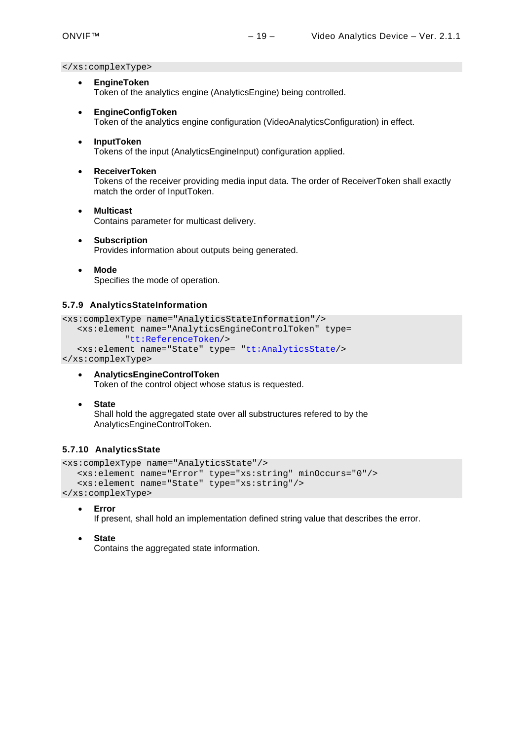</xs:complexType>

- **EngineToken** Token of the analytics engine (AnalyticsEngine) being controlled.
- **EngineConfigToken** Token of the analytics engine configuration (VideoAnalyticsConfiguration) in effect.
- **InputToken** Tokens of the input (AnalyticsEngineInput) configuration applied.
- **ReceiverToken** Tokens of the receiver providing media input data. The order of ReceiverToken shall exactly match the order of InputToken.
- **Multicast** Contains parameter for multicast delivery.
- **Subscription**  Provides information about outputs being generated.
- **Mode**  Specifies the mode of operation.

#### <span id="page-18-0"></span>**5.7.9 AnalyticsStateInformation**

```
<xs:complexType name="AnalyticsStateInformation"/> 
    <xs:element name="AnalyticsEngineControlToken" type= 
            "tt:ReferenceToken/> 
    <xs:element name="State" type= "tt:AnalyticsState/> 
</xs:complexType>
```
- **AnalyticsEngineControlToken** Token of the control object whose status is requested.
- **State**

Shall hold the aggregated state over all substructures refered to by the AnalyticsEngineControlToken.

#### <span id="page-18-1"></span>**5.7.10 AnalyticsState**

```
<xs:complexType name="AnalyticsState"/> 
   <xs:element name="Error" type="xs:string" minOccurs="0"/> 
    <xs:element name="State" type="xs:string"/>
```
</xs:complexType> **Error**

If present, shall hold an implementation defined string value that describes the error.

**State**

Contains the aggregated state information.